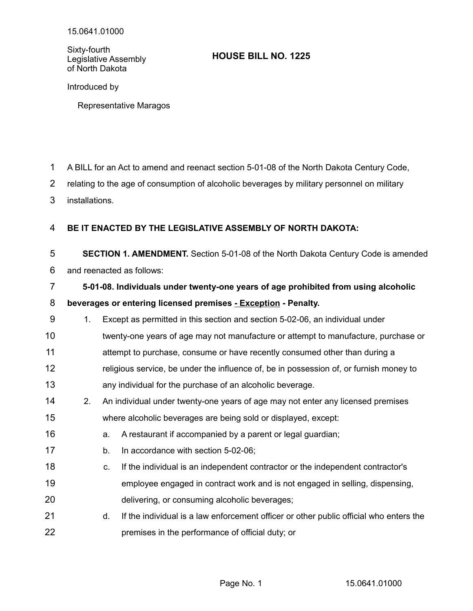Sixty-fourth Legislative Assembly of North Dakota

## **HOUSE BILL NO. 1225**

Introduced by

Representative Maragos

- A BILL for an Act to amend and reenact section 5-01-08 of the North Dakota Century Code, 1
- relating to the age of consumption of alcoholic beverages by military personnel on military 2
- installations. 3

## **BE IT ENACTED BY THE LEGISLATIVE ASSEMBLY OF NORTH DAKOTA:** 4

**SECTION 1. AMENDMENT.** Section 5-01-08 of the North Dakota Century Code is amended and reenacted as follows: 5 6

|    |                                                                | 5-01-08. Individuals under twenty-one years of age prohibited from using alcoholic |  |
|----|----------------------------------------------------------------|------------------------------------------------------------------------------------|--|
|    | beverages or entering licensed premises - Exception - Penalty. |                                                                                    |  |
| -9 | $\mathbf 1$                                                    | Except as permitted in this section and section 5-02-06, an individual under       |  |

- twenty-one years of age may not manufacture or attempt to manufacture, purchase or 10
- attempt to purchase, consume or have recently consumed other than during a 11
- religious service, be under the influence of, be in possession of, or furnish money to any individual for the purchase of an alcoholic beverage. 12 13
- 2. An individual under twenty-one years of age may not enter any licensed premises where alcoholic beverages are being sold or displayed, except: 14 15
- a. A restaurant if accompanied by a parent or legal guardian; 16
- b. In accordance with section 5-02-06; 17
- c. If the individual is an independent contractor or the independent contractor's 18
- employee engaged in contract work and is not engaged in selling, dispensing, delivering, or consuming alcoholic beverages; 19 20
- d. If the individual is a law enforcement officer or other public official who enters the premises in the performance of official duty; or 21 22